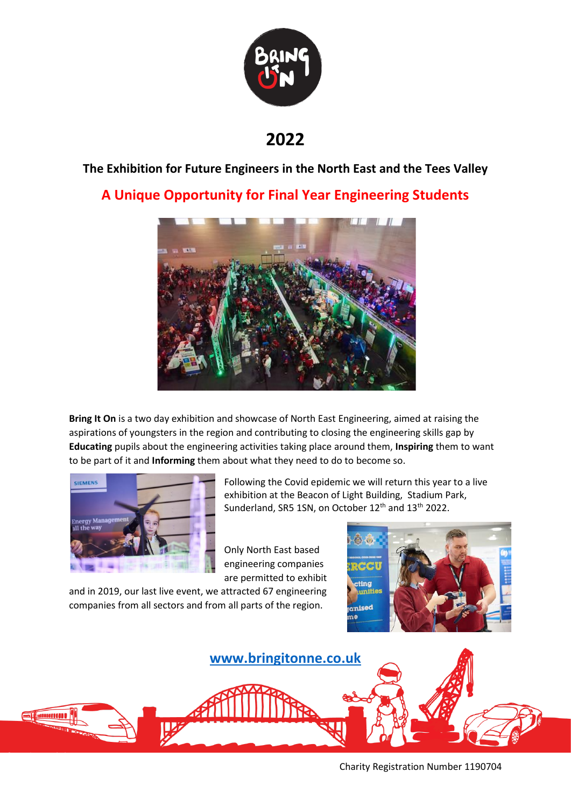

**2022**

## **The Exhibition for Future Engineers in the North East and the Tees Valley**

## **A Unique Opportunity for Final Year Engineering Students**



**Bring It On** is a two day exhibition and showcase of North East Engineering, aimed at raising the aspirations of youngsters in the region and contributing to closing the engineering skills gap by **Educating** pupils about the engineering activities taking place around them, **Inspiring** them to want to be part of it and **Informing** them about what they need to do to become so.



Following the Covid epidemic we will return this year to a live exhibition at the Beacon of Light Building, Stadium Park, Sunderland, SR5 1SN, on October 12<sup>th</sup> and 13<sup>th</sup> 2022.

Only North East based engineering companies are permitted to exhibit

and in 2019, our last live event, we attracted 67 engineering companies from all sectors and from all parts of the region.